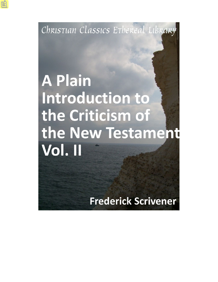Christian Classics Ethereal Library

# **A Plain** Introduction to the Criticism of the New Testament Vol. II

**Frederick Scrivener**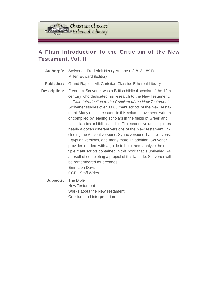

### **A Plain Introduction to the Criticism of the New Testament, Vol. II**

| Author(s):          | Scrivener, Frederick Henry Ambrose (1813-1891)                                                                                                                                                                                                                                                                                                                                                                                                                                                                                                                                                                                                                                                                                                                                                                                                                                                                                                |
|---------------------|-----------------------------------------------------------------------------------------------------------------------------------------------------------------------------------------------------------------------------------------------------------------------------------------------------------------------------------------------------------------------------------------------------------------------------------------------------------------------------------------------------------------------------------------------------------------------------------------------------------------------------------------------------------------------------------------------------------------------------------------------------------------------------------------------------------------------------------------------------------------------------------------------------------------------------------------------|
|                     | Miller, Edward (Editor)                                                                                                                                                                                                                                                                                                                                                                                                                                                                                                                                                                                                                                                                                                                                                                                                                                                                                                                       |
| <b>Publisher:</b>   | Grand Rapids, MI: Christian Classics Ethereal Library                                                                                                                                                                                                                                                                                                                                                                                                                                                                                                                                                                                                                                                                                                                                                                                                                                                                                         |
| <b>Description:</b> | Frederick Scrivener was a British biblical scholar of the 19th<br>century who dedicated his research to the New Testament.<br>In Plain Introduction to the Criticism of the New Testament,<br>Scrivener studies over 3,000 manuscripts of the New Testa-<br>ment. Many of the accounts in this volume have been written<br>or compiled by leading scholars in the fields of Greek and<br>Latin classics or biblical studies. This second volume explores<br>nearly a dozen different versions of the New Testament, in-<br>cluding the Ancient versions, Syriac versions, Latin versions,<br>Egyptian versions, and many more. In addition, Scrivener<br>provides readers with a guide to help them analyze the mul-<br>tiple manuscripts contained in this book that is unrivaled. As<br>a result of completing a project of this latitude, Scrivener will<br>be remembered for decades.<br><b>Emmalon Davis</b><br><b>CCEL Staff Writer</b> |
| Subjects:           | The Bible<br>Naw Tactamant                                                                                                                                                                                                                                                                                                                                                                                                                                                                                                                                                                                                                                                                                                                                                                                                                                                                                                                    |

New Testament Works about the New Testament Criticism and interpretation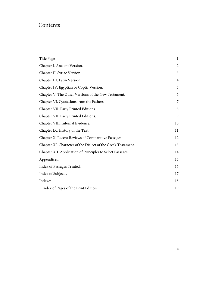### Contents

| Title Page                                                   | 1              |
|--------------------------------------------------------------|----------------|
| Chapter I. Ancient Version.                                  | $\overline{2}$ |
| Chapter II. Syriac Version.                                  | 3              |
| Chapter III. Latin Version.                                  | $\overline{4}$ |
| Chapter IV. Egyptian or Coptic Version.                      | 5              |
| Chapter V. The Other Versions of the New Testament.          | 6              |
| Chapter VI. Quotations from the Fathers.                     | 7              |
| Chapter VII. Early Printed Editions.                         | 8              |
| Chapter VII. Early Printed Editions.                         | 9              |
| Chapter VIII. Internal Evidence.                             | 10             |
| Chapter IX. History of the Text.                             | 11             |
| Chapter X. Recent Reviews of Comparative Passages.           | 12             |
| Chapter XI. Character of the Dialect of the Greek Testament. | 13             |
| Chapter XII. Application of Principles to Select Passages.   | 14             |
| Appendices.                                                  | 15             |
| Index of Passages Treated.                                   | 16             |
| Index of Subjects.                                           | 17             |
| Indexes                                                      | 18             |
| Index of Pages of the Print Edition                          | 19             |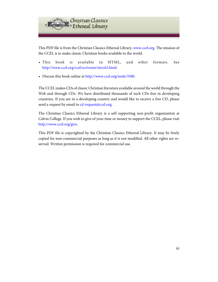

This PDF file is from the Christian Classics Ethereal Library, [www.ccel.org.](http://www.ccel.org) The mission of the CCEL is to make classic Christian books available to the world.

- This book is available in HTML, and other formats. See [http://www.ccel.org/ccel/scrivener/ntcrit2.html.](http://www.ccel.org/ccel/scrivener/ntcrit2.html)
- Discuss this book online at [http://www.ccel.org/node/3580.](http://www.ccel.org/node/3580)

The CCEL makes CDs of classic Christian literature available around the world through the Web and through CDs. We have distributed thousands of such CDs free in developing countries. If you are in a developing country and would like to receive a free CD, please send a request by email to [cd-request@ccel.org.](mailto:cd-request@ccel.org)

The Christian Classics Ethereal Library is a self supporting non-profit organization at Calvin College. If you wish to give of your time or money to support the CCEL, please visit [http://www.ccel.org/give.](http://www.ccel.org/give)

This PDF file is copyrighted by the Christian Classics Ethereal Library. It may be freely copied for non-commercial purposes as long as it is not modified. All other rights are reserved. Written permission is required for commercial use.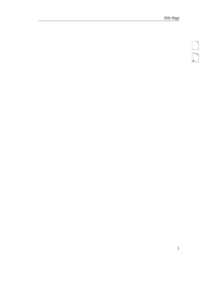<span id="page-4-2"></span><span id="page-4-1"></span><span id="page-4-0"></span>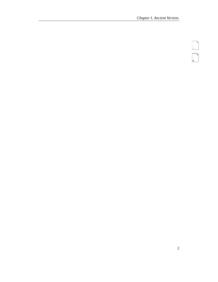<span id="page-5-2"></span><span id="page-5-1"></span><span id="page-5-0"></span>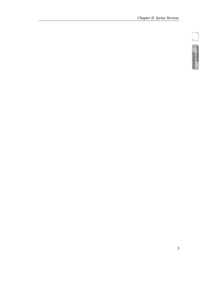<span id="page-6-35"></span><span id="page-6-34"></span><span id="page-6-33"></span><span id="page-6-32"></span><span id="page-6-31"></span><span id="page-6-30"></span><span id="page-6-29"></span><span id="page-6-28"></span><span id="page-6-27"></span><span id="page-6-26"></span><span id="page-6-25"></span><span id="page-6-24"></span><span id="page-6-23"></span><span id="page-6-22"></span><span id="page-6-21"></span><span id="page-6-20"></span><span id="page-6-19"></span><span id="page-6-18"></span><span id="page-6-17"></span><span id="page-6-16"></span><span id="page-6-15"></span><span id="page-6-14"></span><span id="page-6-13"></span><span id="page-6-12"></span><span id="page-6-11"></span><span id="page-6-10"></span><span id="page-6-9"></span><span id="page-6-8"></span><span id="page-6-7"></span><span id="page-6-6"></span><span id="page-6-5"></span><span id="page-6-4"></span><span id="page-6-3"></span><span id="page-6-2"></span><span id="page-6-1"></span><span id="page-6-0"></span>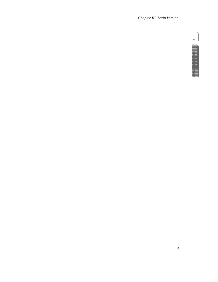<span id="page-7-50"></span><span id="page-7-49"></span><span id="page-7-48"></span><span id="page-7-47"></span><span id="page-7-46"></span><span id="page-7-45"></span><span id="page-7-44"></span><span id="page-7-43"></span><span id="page-7-42"></span><span id="page-7-41"></span><span id="page-7-40"></span><span id="page-7-39"></span><span id="page-7-38"></span><span id="page-7-37"></span><span id="page-7-36"></span><span id="page-7-35"></span><span id="page-7-34"></span><span id="page-7-33"></span><span id="page-7-32"></span><span id="page-7-31"></span><span id="page-7-30"></span><span id="page-7-29"></span><span id="page-7-28"></span><span id="page-7-27"></span><span id="page-7-26"></span><span id="page-7-25"></span><span id="page-7-24"></span><span id="page-7-23"></span><span id="page-7-22"></span><span id="page-7-21"></span><span id="page-7-20"></span><span id="page-7-19"></span><span id="page-7-18"></span><span id="page-7-17"></span><span id="page-7-16"></span><span id="page-7-15"></span><span id="page-7-14"></span><span id="page-7-13"></span><span id="page-7-12"></span><span id="page-7-11"></span><span id="page-7-10"></span><span id="page-7-9"></span><span id="page-7-8"></span><span id="page-7-7"></span><span id="page-7-6"></span><span id="page-7-5"></span><span id="page-7-4"></span><span id="page-7-3"></span><span id="page-7-2"></span><span id="page-7-1"></span><span id="page-7-0"></span>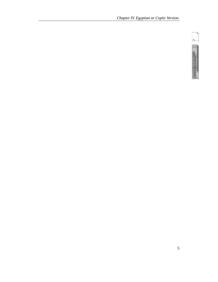<span id="page-8-0"></span>*Chapter IV. Egyptian or Coptic Version.*

<span id="page-8-54"></span><span id="page-8-53"></span><span id="page-8-52"></span><span id="page-8-51"></span><span id="page-8-50"></span><span id="page-8-49"></span><span id="page-8-48"></span><span id="page-8-47"></span><span id="page-8-46"></span><span id="page-8-45"></span><span id="page-8-44"></span><span id="page-8-43"></span><span id="page-8-42"></span><span id="page-8-41"></span><span id="page-8-40"></span><span id="page-8-39"></span><span id="page-8-38"></span><span id="page-8-37"></span><span id="page-8-36"></span><span id="page-8-35"></span><span id="page-8-34"></span><span id="page-8-33"></span><span id="page-8-32"></span><span id="page-8-31"></span><span id="page-8-30"></span><span id="page-8-29"></span><span id="page-8-28"></span><span id="page-8-27"></span><span id="page-8-26"></span><span id="page-8-25"></span><span id="page-8-24"></span><span id="page-8-23"></span><span id="page-8-22"></span><span id="page-8-21"></span><span id="page-8-20"></span><span id="page-8-19"></span><span id="page-8-18"></span><span id="page-8-17"></span><span id="page-8-16"></span><span id="page-8-15"></span><span id="page-8-14"></span><span id="page-8-13"></span><span id="page-8-12"></span><span id="page-8-11"></span><span id="page-8-10"></span><span id="page-8-9"></span><span id="page-8-8"></span><span id="page-8-7"></span><span id="page-8-6"></span><span id="page-8-5"></span><span id="page-8-4"></span><span id="page-8-3"></span><span id="page-8-2"></span><span id="page-8-1"></span>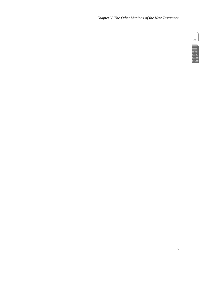## <span id="page-9-22"></span><span id="page-9-21"></span><span id="page-9-20"></span><span id="page-9-19"></span><span id="page-9-18"></span><span id="page-9-17"></span><span id="page-9-16"></span><span id="page-9-15"></span><span id="page-9-14"></span><span id="page-9-13"></span><span id="page-9-12"></span><span id="page-9-11"></span><span id="page-9-10"></span><span id="page-9-9"></span><span id="page-9-8"></span><span id="page-9-7"></span><span id="page-9-6"></span><span id="page-9-5"></span><span id="page-9-4"></span><span id="page-9-3"></span><span id="page-9-2"></span><span id="page-9-1"></span><span id="page-9-0"></span> [147](http://www.ccel.org/ccel/scrivener/ntcrit2/png/0169=162.htm) [148](http://www.ccel.org/ccel/scrivener/ntcrit2/png/0170=163.htm) [149](http://www.ccel.org/ccel/scrivener/ntcrit2/png/0171=164.htm) 150 [151](http://www.ccel.org/ccel/scrivener/ntcrit2/png/0172=165.htm) 152 153 154 155 156 157 158 159 160 161 162 163 164 165 166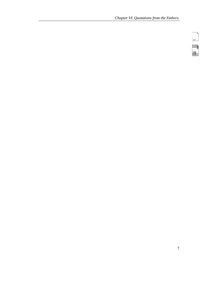<span id="page-10-8"></span><span id="page-10-7"></span><span id="page-10-6"></span><span id="page-10-5"></span><span id="page-10-4"></span><span id="page-10-3"></span><span id="page-10-2"></span><span id="page-10-1"></span><span id="page-10-0"></span>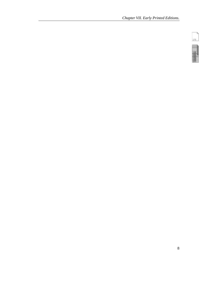<span id="page-11-0"></span>*Chapter VII. Early Printed Editions.*

<span id="page-11-21"></span><span id="page-11-20"></span><span id="page-11-19"></span><span id="page-11-18"></span><span id="page-11-17"></span><span id="page-11-16"></span><span id="page-11-15"></span><span id="page-11-14"></span><span id="page-11-13"></span><span id="page-11-12"></span><span id="page-11-11"></span><span id="page-11-10"></span><span id="page-11-9"></span><span id="page-11-8"></span><span id="page-11-7"></span><span id="page-11-6"></span><span id="page-11-5"></span><span id="page-11-4"></span><span id="page-11-3"></span><span id="page-11-2"></span><span id="page-11-1"></span>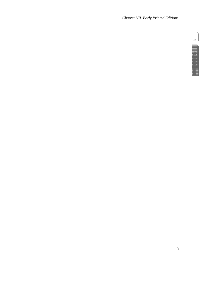<span id="page-12-0"></span>*Chapter VII. Early Printed Editions.*

<span id="page-12-48"></span><span id="page-12-47"></span><span id="page-12-46"></span><span id="page-12-45"></span><span id="page-12-44"></span><span id="page-12-43"></span><span id="page-12-42"></span><span id="page-12-41"></span><span id="page-12-40"></span><span id="page-12-39"></span><span id="page-12-38"></span><span id="page-12-37"></span><span id="page-12-36"></span><span id="page-12-35"></span><span id="page-12-34"></span><span id="page-12-33"></span><span id="page-12-32"></span><span id="page-12-31"></span><span id="page-12-30"></span><span id="page-12-29"></span><span id="page-12-28"></span><span id="page-12-27"></span><span id="page-12-26"></span><span id="page-12-25"></span><span id="page-12-24"></span><span id="page-12-23"></span><span id="page-12-22"></span><span id="page-12-21"></span><span id="page-12-20"></span><span id="page-12-19"></span><span id="page-12-18"></span><span id="page-12-17"></span><span id="page-12-16"></span><span id="page-12-15"></span><span id="page-12-14"></span><span id="page-12-13"></span><span id="page-12-12"></span><span id="page-12-11"></span><span id="page-12-10"></span><span id="page-12-9"></span><span id="page-12-8"></span><span id="page-12-7"></span><span id="page-12-6"></span><span id="page-12-5"></span><span id="page-12-4"></span><span id="page-12-3"></span><span id="page-12-2"></span><span id="page-12-1"></span>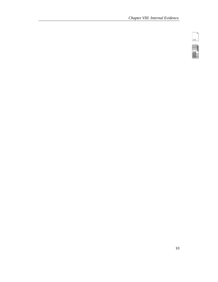<span id="page-13-13"></span><span id="page-13-12"></span><span id="page-13-11"></span><span id="page-13-10"></span><span id="page-13-9"></span><span id="page-13-8"></span><span id="page-13-7"></span><span id="page-13-6"></span><span id="page-13-5"></span><span id="page-13-4"></span><span id="page-13-3"></span><span id="page-13-2"></span><span id="page-13-1"></span><span id="page-13-0"></span>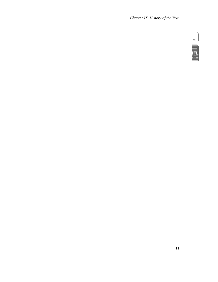<span id="page-14-17"></span><span id="page-14-16"></span><span id="page-14-15"></span><span id="page-14-14"></span><span id="page-14-13"></span><span id="page-14-12"></span><span id="page-14-11"></span><span id="page-14-10"></span><span id="page-14-9"></span><span id="page-14-8"></span><span id="page-14-7"></span><span id="page-14-6"></span><span id="page-14-5"></span><span id="page-14-4"></span><span id="page-14-3"></span><span id="page-14-2"></span><span id="page-14-1"></span><span id="page-14-0"></span>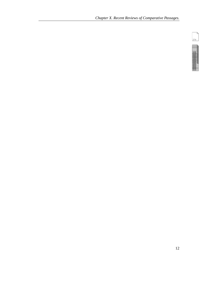### <span id="page-15-38"></span><span id="page-15-37"></span><span id="page-15-36"></span><span id="page-15-35"></span><span id="page-15-34"></span><span id="page-15-33"></span><span id="page-15-32"></span><span id="page-15-31"></span><span id="page-15-30"></span><span id="page-15-29"></span><span id="page-15-28"></span><span id="page-15-27"></span><span id="page-15-26"></span><span id="page-15-25"></span><span id="page-15-24"></span><span id="page-15-23"></span><span id="page-15-22"></span><span id="page-15-21"></span><span id="page-15-20"></span><span id="page-15-19"></span><span id="page-15-18"></span><span id="page-15-17"></span><span id="page-15-16"></span><span id="page-15-15"></span><span id="page-15-14"></span><span id="page-15-13"></span><span id="page-15-12"></span><span id="page-15-11"></span><span id="page-15-10"></span><span id="page-15-9"></span><span id="page-15-8"></span><span id="page-15-7"></span><span id="page-15-6"></span><span id="page-15-5"></span><span id="page-15-4"></span><span id="page-15-3"></span><span id="page-15-2"></span><span id="page-15-1"></span><span id="page-15-0"></span>[276](http://www.ccel.org/ccel/scrivener/ntcrit2/png/0298=291.htm) [277](http://www.ccel.org/ccel/scrivener/ntcrit2/png/0299=292.htm) [278](http://www.ccel.org/ccel/scrivener/ntcrit2/png/0300=293.htm) 279 [280](http://www.ccel.org/ccel/scrivener/ntcrit2/png/0301=294.htm) 281 [282](http://www.ccel.org/ccel/scrivener/ntcrit2/png/0303=296.htm) [283](http://www.ccel.org/ccel/scrivener/ntcrit2/png/0305=298.htm) 284 [285](http://www.ccel.org/ccel/scrivener/ntcrit2/png/0306=299.htm) [286](http://www.ccel.org/ccel/scrivener/ntcrit2/png/0308=301.htm) [287](http://www.ccel.org/ccel/scrivener/ntcrit2/png/0309=302.htm) [288](http://www.ccel.org/ccel/scrivener/ntcrit2/png/0310=303.htm) 289 [290](http://www.ccel.org/ccel/scrivener/ntcrit2/png/0311=304.htm) 291 [292](http://www.ccel.org/ccel/scrivener/ntcrit2/png/0313=306.htm) [293](http://www.ccel.org/ccel/scrivener/ntcrit2/png/0315=308.htm) 294 [295](http://www.ccel.org/ccel/scrivener/ntcrit2/png/0316=309.htm) [296](http://www.ccel.org/ccel/scrivener/ntcrit2/png/0318=311.htm) 297 298 299 300 301 302 303 304 305 306 307 308 309 310 311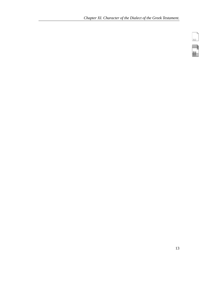<span id="page-16-9"></span><span id="page-16-8"></span><span id="page-16-7"></span><span id="page-16-6"></span><span id="page-16-5"></span><span id="page-16-4"></span><span id="page-16-3"></span><span id="page-16-2"></span><span id="page-16-1"></span><span id="page-16-0"></span>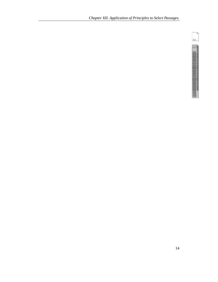<span id="page-17-92"></span><span id="page-17-91"></span><span id="page-17-90"></span><span id="page-17-89"></span><span id="page-17-88"></span><span id="page-17-87"></span><span id="page-17-86"></span><span id="page-17-85"></span><span id="page-17-84"></span><span id="page-17-83"></span><span id="page-17-82"></span><span id="page-17-81"></span><span id="page-17-80"></span><span id="page-17-79"></span><span id="page-17-78"></span><span id="page-17-77"></span><span id="page-17-76"></span><span id="page-17-75"></span><span id="page-17-74"></span><span id="page-17-73"></span><span id="page-17-72"></span><span id="page-17-71"></span><span id="page-17-70"></span><span id="page-17-69"></span><span id="page-17-68"></span><span id="page-17-67"></span><span id="page-17-66"></span><span id="page-17-65"></span><span id="page-17-64"></span><span id="page-17-63"></span><span id="page-17-62"></span><span id="page-17-61"></span><span id="page-17-60"></span><span id="page-17-59"></span><span id="page-17-58"></span><span id="page-17-57"></span><span id="page-17-56"></span><span id="page-17-55"></span><span id="page-17-54"></span><span id="page-17-53"></span><span id="page-17-52"></span><span id="page-17-51"></span><span id="page-17-50"></span><span id="page-17-49"></span><span id="page-17-48"></span><span id="page-17-47"></span><span id="page-17-46"></span><span id="page-17-45"></span><span id="page-17-44"></span><span id="page-17-43"></span><span id="page-17-42"></span><span id="page-17-41"></span><span id="page-17-40"></span><span id="page-17-39"></span><span id="page-17-38"></span><span id="page-17-37"></span><span id="page-17-36"></span><span id="page-17-35"></span><span id="page-17-34"></span><span id="page-17-33"></span><span id="page-17-32"></span><span id="page-17-31"></span><span id="page-17-30"></span><span id="page-17-29"></span><span id="page-17-28"></span><span id="page-17-27"></span><span id="page-17-26"></span><span id="page-17-25"></span><span id="page-17-24"></span><span id="page-17-23"></span><span id="page-17-22"></span><span id="page-17-21"></span><span id="page-17-20"></span><span id="page-17-19"></span><span id="page-17-18"></span><span id="page-17-17"></span><span id="page-17-16"></span><span id="page-17-15"></span><span id="page-17-14"></span><span id="page-17-13"></span><span id="page-17-12"></span><span id="page-17-11"></span><span id="page-17-10"></span><span id="page-17-9"></span><span id="page-17-8"></span><span id="page-17-7"></span><span id="page-17-6"></span><span id="page-17-5"></span><span id="page-17-4"></span><span id="page-17-3"></span><span id="page-17-2"></span><span id="page-17-1"></span><span id="page-17-0"></span>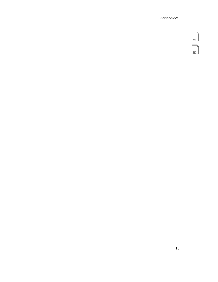<span id="page-18-4"></span><span id="page-18-3"></span><span id="page-18-2"></span><span id="page-18-1"></span><span id="page-18-0"></span>

| ź |
|---|
|   |
|   |
|   |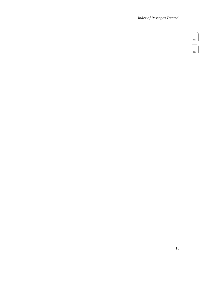<span id="page-19-2"></span><span id="page-19-1"></span><span id="page-19-0"></span>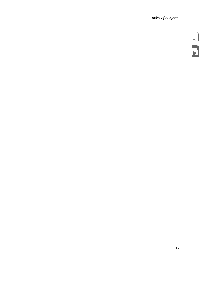<span id="page-20-10"></span><span id="page-20-9"></span><span id="page-20-8"></span><span id="page-20-7"></span><span id="page-20-6"></span><span id="page-20-5"></span><span id="page-20-4"></span><span id="page-20-3"></span><span id="page-20-2"></span><span id="page-20-1"></span><span id="page-20-0"></span>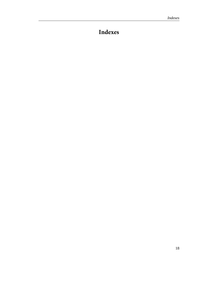### <span id="page-21-0"></span>**Indexes**